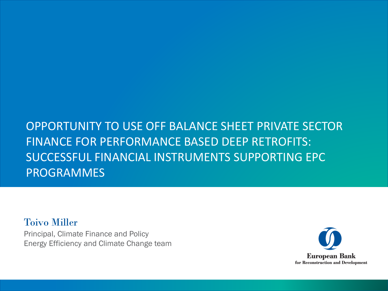### OPPORTUNITY TO USE OFF BALANCE SHEET PRIVATE SECTOR FINANCE FOR PERFORMANCE BASED DEEP RETROFITS: SUCCESSFUL FINANCIAL INSTRUMENTS SUPPORTING EPC PROGRAMMES

Toivo Miller Principal, Climate Finance and Policy Energy Efficiency and Climate Change team

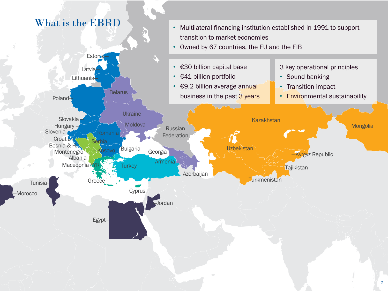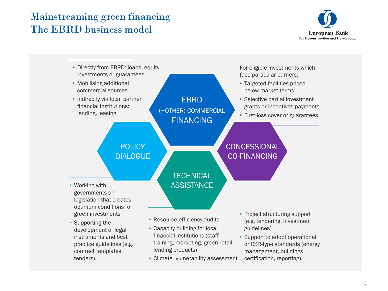### Mainstreaming green financing The EBRD business model



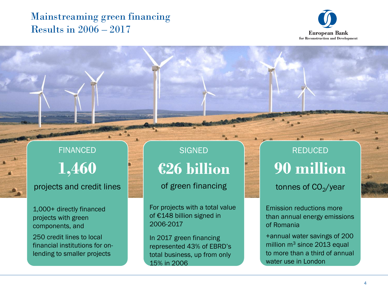### Mainstreaming green financing Results in 2006 – 2017



# FINANCED **1,460**

#### projects and credit lines

1,000+ directly financed projects with green components, and

250 credit lines to local financial institutions for onlending to smaller projects

### **SIGNED €26 billion**

of green financing

For projects with a total value of €148 billion signed in 2006-2017

In 2017 green financing represented 43% of EBRD's total business, up from only 15% in 2006

REDUCED **90 million** 

tonnes of CO<sub>2</sub>/year

Emission reductions more than annual energy emissions of Romania

+annual water savings of 200 million  $m<sup>3</sup>$  since 2013 equal to more than a third of annual water use in London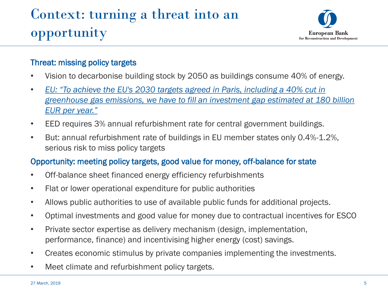# Context: turning a threat into an opportunity



#### Threat: missing policy targets

- Vision to decarbonise building stock by 2050 as buildings consume 40% of energy.
- *EU: "To achieve the EU's 2030 targets agreed in Paris, including a 40% cut in [greenhouse gas emissions, we have to fill an investment gap estimated at 180 billion](https://ec.europa.eu/info/sites/info/files/180131-sustainable-finance-final-report_en.pdf)  EUR per year."*
- EED requires 3% annual refurbishment rate for central government buildings.
- But: annual refurbishment rate of buildings in EU member states only 0.4%-1.2%, serious risk to miss policy targets

#### Opportunity: meeting policy targets, good value for money, off-balance for state

- Off-balance sheet financed energy efficiency refurbishments
- Flat or lower operational expenditure for public authorities
- Allows public authorities to use of available public funds for additional projects.
- Optimal investments and good value for money due to contractual incentives for ESCO
- Private sector expertise as delivery mechanism (design, implementation, performance, finance) and incentivising higher energy (cost) savings.
- Creates economic stimulus by private companies implementing the investments.
- Meet climate and refurbishment policy targets.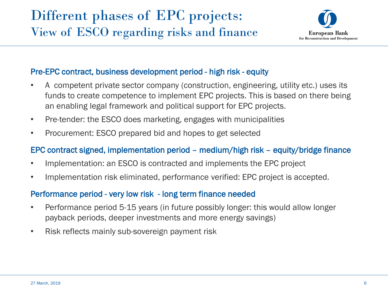### Different phases of EPC projects: View of ESCO regarding risks and finance



#### Pre-EPC contract, business development period - high risk - equity

- A competent private sector company (construction, engineering, utility etc.) uses its funds to create competence to implement EPC projects. This is based on there being an enabling legal framework and political support for EPC projects.
- Pre-tender: the ESCO does marketing, engages with municipalities
- Procurement: ESCO prepared bid and hopes to get selected

#### EPC contract signed, implementation period – medium/high risk – equity/bridge finance

- Implementation: an ESCO is contracted and implements the EPC project
- Implementation risk eliminated, performance verified: EPC project is accepted.

#### Performance period - very low risk - long term finance needed

- Performance period 5-15 years (in future possibly longer: this would allow longer payback periods, deeper investments and more energy savings)
- Risk reflects mainly sub-sovereign payment risk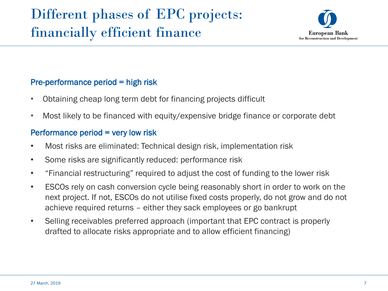

#### Pre-performance period = high risk

- Obtaining cheap long term debt for financing projects difficult
- Most likely to be financed with equity/expensive bridge finance or corporate debt

#### Performance period = very low risk

- Most risks are eliminated: Technical design risk, implementation risk
- Some risks are significantly reduced: performance risk
- "Financial restructuring" required to adjust the cost of funding to the lower risk
- ESCOs rely on cash conversion cycle being reasonably short in order to work on the next project. If not, ESCOs do not utilise fixed costs properly, do not grow and do not achieve required returns – either they sack employees or go bankrupt
- Selling receivables preferred approach (important that EPC contract is properly drafted to allocate risks appropriate and to allow efficient financing)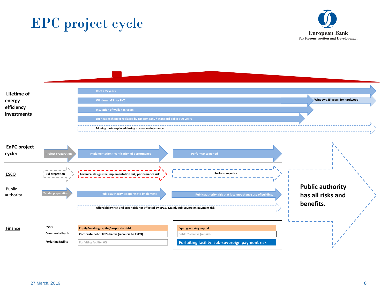



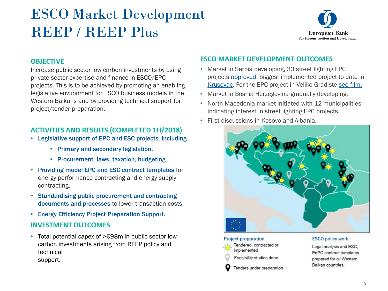# ESCO Market Development REEP / REEP Plus



#### **OBJECTIVE**

Increase public sector low carbon investments by using private sector expertise and finance in ESCO/EPC projects. This is to be achieved by promoting an enabling legislative environment for ESCO business models in the Western Balkans and by providing technical support for project/tender preparation.

#### **ACTIVITIES AND RESULTS (COMPLETED 1H/2018)**

- Legislative support of EPC and ESC projects, including
	- Primary and secondary legislation,
	- Procurement, laws, taxation, budgeting.
- Providing model EPC and ESC contract templates for energy performance contracting and energy supply contracting,
- Standardising public procurement and contracting documents and processes to lower transaction costs,
- Energy Efficiency Project Preparation Support.

#### **INVESTMENT OUTCOMES**

• Total potential capex of >€98m in public sector low carbon investments arising from REEP policy and technical support.

#### **ESCO MARKET DEVELOPMENT OUTCOMES**

- Market in Serbia developing, 33 street lighting EPC projects [approved](http://ppp.gov.rs/misljenja-komisije), biggest implemented project to date in [Krusevac.](https://balkangreenenergynews.com/city-krusevac-gge-sign-largest-public-lighting-ppp-region/) For the EPC project in Veliko Gradiste [see film.](https://www.ebrd.com/news/2019/ebrd-and-eu-help-serbia-improve-its-energy-efficiency-.html)
- Market in Bosnia Herzegovina gradually developing,
- North Macedonia market initiated with 12 municipalities indicating interest in street lighting EPC projects.
- First discussions in Kosovo and Albania.



#### **Project preparation** Tendered, contracted or implemented Feasibility studies done

Tenders under preparation

#### **ESCO policy work**

Legal analysis and ESC, EnPC contract templates prepared for all Western Balkan countries.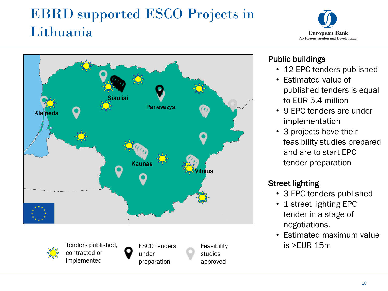# EBRD supported ESCO Projects in Lithuania





under

implemented

preparation

studies approved

#### Public buildings

- 12 EPC tenders published
- Estimated value of published tenders is equal to EUR 5.4 million
- 9 EPC tenders are under implementation
- 3 projects have their feasibility studies prepared and are to start EPC tender preparation

#### Street lighting

- 3 EPC tenders published
- 1 street lighting EPC tender in a stage of negotiations.
- Estimated maximum value

10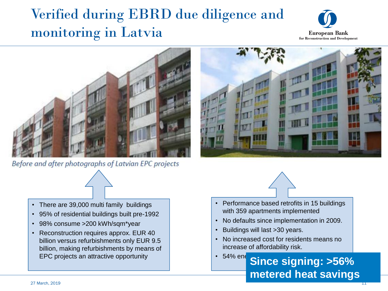# Verified during EBRD due diligence and monitoring in Latvia





Before and after photographs of Latvian EPC projects





- Performance based retrofits in 15 buildings with 359 apartments implemented
- No defaults since implementation in 2009.
- Buildings will last >30 years.
- No increased cost for residents means no increase of affordability risk.
- EPC projects an attractive opportunity **Since signing: >56% metered heat savings**
- There are 39,000 multi family buildings
- 95% of residential buildings built pre-1992
- 98% consume >200 kWh/sqm\*year
- Reconstruction requires approx. EUR 40 billion versus refurbishments only EUR 9.5 billion, making refurbishments by means of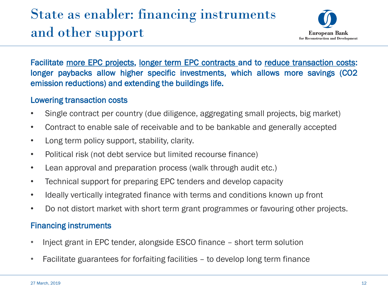# State as enabler: financing instruments and other support



Facilitate more EPC projects, longer term EPC contracts and to reduce transaction costs: longer paybacks allow higher specific investments, which allows more savings (CO2 emission reductions) and extending the buildings life.

#### Lowering transaction costs

- Single contract per country (due diligence, aggregating small projects, big market)
- Contract to enable sale of receivable and to be bankable and generally accepted
- Long term policy support, stability, clarity.
- Political risk (not debt service but limited recourse finance)
- Lean approval and preparation process (walk through audit etc.)
- Technical support for preparing EPC tenders and develop capacity
- Ideally vertically integrated finance with terms and conditions known up front
- Do not distort market with short term grant programmes or favouring other projects.

#### Financing instruments

- Inject grant in EPC tender, alongside ESCO finance short term solution
- Facilitate guarantees for forfaiting facilities to develop long term finance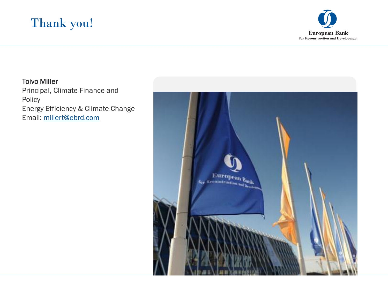

#### Toivo Miller

Principal, Climate Finance and Policy Energy Efficiency & Climate Change Email: [millert@ebrd.com](mailto:millert@ebrd.com)

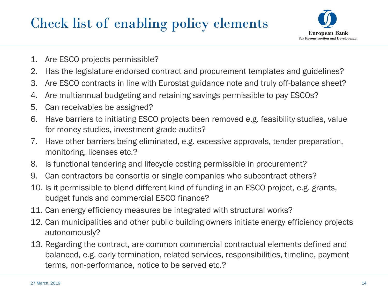## Check list of enabling policy elements



- 1. Are ESCO projects permissible?
- 2. Has the legislature endorsed contract and procurement templates and guidelines?
- 3. Are ESCO contracts in line with Eurostat guidance note and truly off-balance sheet?
- 4. Are multiannual budgeting and retaining savings permissible to pay ESCOs?
- 5. Can receivables be assigned?
- 6. Have barriers to initiating ESCO projects been removed e.g. feasibility studies, value for money studies, investment grade audits?
- 7. Have other barriers being eliminated, e.g. excessive approvals, tender preparation, monitoring, licenses etc.?
- 8. Is functional tendering and lifecycle costing permissible in procurement?
- 9. Can contractors be consortia or single companies who subcontract others?
- 10. Is it permissible to blend different kind of funding in an ESCO project, e.g. grants, budget funds and commercial ESCO finance?
- 11. Can energy efficiency measures be integrated with structural works?
- 12. Can municipalities and other public building owners initiate energy efficiency projects autonomously?
- 13. Regarding the contract, are common commercial contractual elements defined and balanced, e.g. early termination, related services, responsibilities, timeline, payment terms, non-performance, notice to be served etc.?